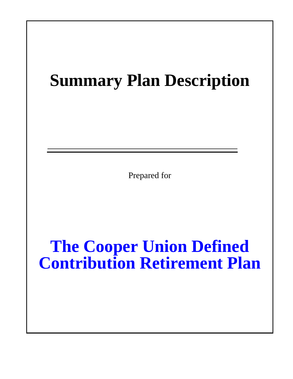# **Summary Plan Description**

Prepared for

**The Cooper Union Defined Contribution Retirement Plan**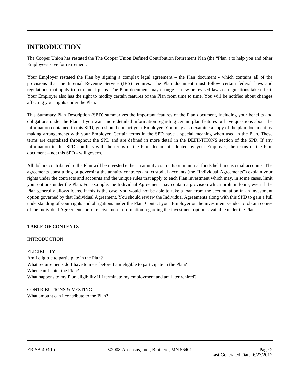# **INTRODUCTION**

The Cooper Union has restated the The Cooper Union Defined Contribution Retirement Plan (the "Plan") to help you and other Employees save for retirement.

Your Employer restated the Plan by signing a complex legal agreement – the Plan document - which contains all of the provisions that the Internal Revenue Service (IRS) requires. The Plan document must follow certain federal laws and regulations that apply to retirement plans. The Plan document may change as new or revised laws or regulations take effect. Your Employer also has the right to modify certain features of the Plan from time to time. You will be notified about changes affecting your rights under the Plan.

This Summary Plan Description (SPD) summarizes the important features of the Plan document, including your benefits and obligations under the Plan. If you want more detailed information regarding certain plan features or have questions about the information contained in this SPD, you should contact your Employer. You may also examine a copy of the plan document by making arrangements with your Employer. Certain terms in the SPD have a special meaning when used in the Plan. These terms are capitalized throughout the SPD and are defined in more detail in the DEFINITIONS section of the SPD. If any information in this SPD conflicts with the terms of the Plan document adopted by your Employer, the terms of the Plan document – not this SPD - will govern.

All dollars contributed to the Plan will be invested either in annuity contracts or in mutual funds held in custodial accounts. The agreements constituting or governing the annuity contracts and custodial accounts (the "Individual Agreements") explain your rights under the contracts and accounts and the unique rules that apply to each Plan investment which may, in some cases, limit your options under the Plan. For example, the Individual Agreement may contain a provision which prohibit loans, even if the Plan generally allows loans. If this is the case, you would not be able to take a loan from the accumulation in an investment option governed by that Individual Agreement. You should review the Individual Agreements along with this SPD to gain a full understanding of your rights and obligations under the Plan. Contact your Employer or the investment vendor to obtain copies of the Individual Agreements or to receive more information regarding the investment options available under the Plan.

# **TABLE OF CONTENTS**

# INTRODUCTION

# ELIGIBILITY

Am I eligible to participate in the Plan? What requirements do I have to meet before I am eligible to participate in the Plan? When can I enter the Plan? What happens to my Plan eligibility if I terminate my employment and am later rehired?

CONTRIBUTIONS & VESTING What amount can I contribute to the Plan?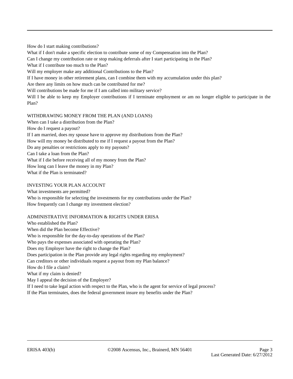How do I start making contributions? What if I don't make a specific election to contribute some of my Compensation into the Plan? Can I change my contribution rate or stop making deferrals after I start participating in the Plan? What if I contribute too much to the Plan? Will my employer make any additional Contributions to the Plan? If I have money in other retirement plans, can I combine them with my accumulation under this plan? Are there any limits on how much can be contributed for me? Will contributions be made for me if I am called into military service? Will I be able to keep my Employer contributions if I terminate employment or am no longer eligible to participate in the Plan?

# WITHDRAWING MONEY FROM THE PLAN (AND LOANS)

When can I take a distribution from the Plan? How do I request a payout? If I am married, does my spouse have to approve my distributions from the Plan? How will my money be distributed to me if I request a payout from the Plan? Do any penalties or restrictions apply to my payouts? Can I take a loan from the Plan? What if I die before receiving all of my money from the Plan? How long can I leave the money in my Plan? What if the Plan is terminated?

# INVESTING YOUR PLAN ACCOUNT

What investments are permitted? Who is responsible for selecting the investments for my contributions under the Plan? How frequently can I change my investment election?

# ADMINISTRATIVE INFORMATION & RIGHTS UNDER ERISA

Who established the Plan? When did the Plan become Effective? Who is responsible for the day-to-day operations of the Plan? Who pays the expenses associated with operating the Plan? Does my Employer have the right to change the Plan? Does participation in the Plan provide any legal rights regarding my employment? Can creditors or other individuals request a payout from my Plan balance? How do I file a claim? What if my claim is denied? May I appeal the decision of the Employer? If I need to take legal action with respect to the Plan, who is the agent for service of legal process? If the Plan terminates, does the federal government insure my benefits under the Plan?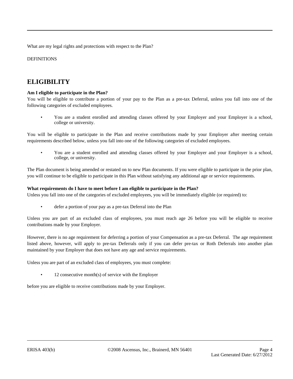What are my legal rights and protections with respect to the Plan?

DEFINITIONS

# **ELIGIBILITY**

# **Am I eligible to participate in the Plan?**

You will be eligible to contribute a portion of your pay to the Plan as a pre-tax Deferral, unless you fall into one of the following categories of excluded employees.

• You are a student enrolled and attending classes offered by your Employer and your Employer is a school, college or university.

You will be eligible to participate in the Plan and receive contributions made by your Employer after meeting certain requirements described below, unless you fall into one of the following categories of excluded employees.

• You are a student enrolled and attending classes offered by your Employer and your Employer is a school, college, or university.

The Plan document is being amended or restated on to new Plan documents. If you were eligible to participate in the prior plan, you will continue to be eligible to participate in this Plan without satisfying any additional age or service requirements.

#### **What requirements do I have to meet before I am eligible to participate in the Plan?**

Unless you fall into one of the categories of excluded employees, you will be immediately eligible (or required) to:

defer a portion of your pay as a pre-tax Deferral into the Plan

Unless you are part of an excluded class of employees, you must reach age 26 before you will be eligible to receive contributions made by your Employer.

However, there is no age requirement for deferring a portion of your Compensation as a pre-tax Deferral. The age requirement listed above, however, will apply to pre-tax Deferrals only if you can defer pre-tax or Roth Deferrals into another plan maintained by your Employer that does not have any age and service requirements.

Unless you are part of an excluded class of employees, you must complete:

 $12$  consecutive month(s) of service with the Employer

before you are eligible to receive contributions made by your Employer.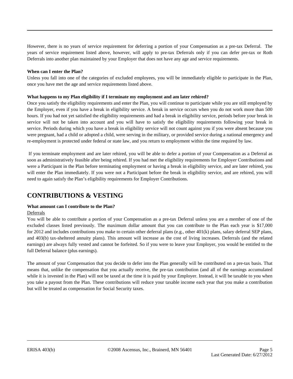However, there is no years of service requirement for deferring a portion of your Compensation as a pre-tax Deferral. The years of service requirement listed above, however, will apply to pre-tax Deferrals only if you can defer pre-tax or Roth Deferrals into another plan maintained by your Employer that does not have any age and service requirements.

#### **When can I enter the Plan?**

Unless you fall into one of the categories of excluded employees, you will be immediately eligible to participate in the Plan, once you have met the age and service requirements listed above.

# **What happens to my Plan eligibility if I terminate my employment and am later rehired?**

Once you satisfy the eligibility requirements and enter the Plan, you will continue to participate while you are still employed by the Employer, even if you have a break in eligibility service. A break in service occurs when you do not work more than 500 hours. If you had not yet satisfied the eligibility requirements and had a break in eligibility service, periods before your break in service will not be taken into account and you will have to satisfy the eligibility requirements following your break in service. Periods during which you have a break in eligibility service will not count against you if you were absent because you were pregnant, had a child or adopted a child, were serving in the military, or provided service during a national emergency and re-employment is protected under federal or state law, and you return to employment within the time required by law.

If you terminate employment and are later rehired, you will be able to defer a portion of your Compensation as a Deferral as soon as administratively feasible after being rehired. If you had met the eligibility requirements for Employer Contributions and were a Participant in the Plan before terminating employment or having a break in eligibility service, and are later rehired, you will enter the Plan immediately. If you were not a Participant before the break in eligibility service, and are rehired, you will need to again satisfy the Plan's eligibility requirements for Employer Contributions.

# **CONTRIBUTIONS & VESTING**

# **What amount can I contribute to the Plan?**

#### Deferrals

You will be able to contribute a portion of your Compensation as a pre-tax Deferral unless you are a member of one of the excluded classes listed previously. The maximum dollar amount that you can contribute to the Plan each year is \$17,000 for 2012 and includes contributions you make to certain other deferral plans (e.g., other 401(k) plans, salary deferral SEP plans, and 403(b) tax-sheltered annuity plans). This amount will increase as the cost of living increases. Deferrals (and the related earnings) are always fully vested and cannot be forfeited. So if you were to leave your Employer, you would be entitled to the full Deferral balance (plus earnings).

The amount of your Compensation that you decide to defer into the Plan generally will be contributed on a pre-tax basis. That means that, unlike the compensation that you actually receive, the pre-tax contribution (and all of the earnings accumulated while it is invested in the Plan) will not be taxed at the time it is paid by your Employer. Instead, it will be taxable to you when you take a payout from the Plan. These contributions will reduce your taxable income each year that you make a contribution but will be treated as compensation for Social Security taxes.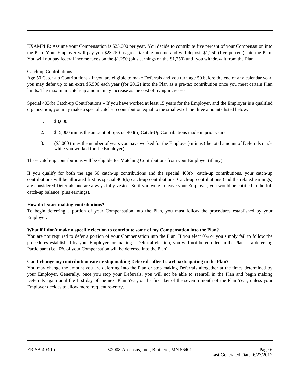EXAMPLE: Assume your Compensation is \$25,000 per year. You decide to contribute five percent of your Compensation into the Plan. Your Employer will pay you \$23,750 as gross taxable income and will deposit \$1,250 (five percent) into the Plan. You will not pay federal income taxes on the \$1,250 (plus earnings on the \$1,250) until you withdraw it from the Plan.

# Catch-up Contributions

Age 50 Catch-up Contributions - If you are eligible to make Deferrals and you turn age 50 before the end of any calendar year, you may defer up to an extra \$5,500 each year (for 2012) into the Plan as a pre-tax contribution once you meet certain Plan limits. The maximum catch-up amount may increase as the cost of living increases.

Special 403(b) Catch-up Contributions – If you have worked at least 15 years for the Employer, and the Employer is a qualified organization, you may make a special catch-up contribution equal to the smallest of the three amounts listed below:

- 1. \$3,000
- 2. \$15,000 minus the amount of Special 403(b) Catch-Up Contributions made in prior years
- 3. (\$5,000 times the number of years you have worked for the Employer) minus (the total amount of Deferrals made while you worked for the Employer)

These catch-up contributions will be eligible for Matching Contributions from your Employer (if any).

If you qualify for both the age 50 catch-up contributions and the special 403(b) catch-up contributions, your catch-up contributions will be allocated first as special 403(b) catch-up contributions. Catch-up contributions (and the related earnings) are considered Deferrals and are always fully vested. So if you were to leave your Employer, you would be entitled to the full catch-up balance (plus earnings).

#### **How do I start making contributions?**

To begin deferring a portion of your Compensation into the Plan, you must follow the procedures established by your Employer.

#### **What if I don't make a specific election to contribute some of my Compensation into the Plan?**

You are not required to defer a portion of your Compensation into the Plan. If you elect 0% or you simply fail to follow the procedures established by your Employer for making a Deferral election, you will not be enrolled in the Plan as a deferring Participant (i.e., 0% of your Compensation will be deferred into the Plan).

#### **Can I change my contribution rate or stop making Deferrals after I start participating in the Plan?**

You may change the amount you are deferring into the Plan or stop making Deferrals altogether at the times determined by your Employer. Generally, once you stop your Deferrals, you will not be able to reenroll in the Plan and begin making Deferrals again until the first day of the next Plan Year, or the first day of the seventh month of the Plan Year, unless your Employer decides to allow more frequent re-entry.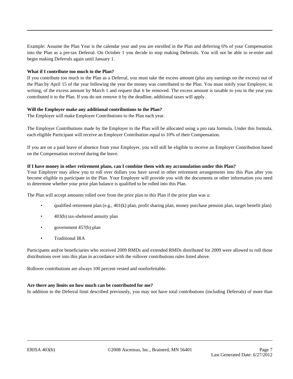Example: Assume the Plan Year is the calendar year and you are enrolled in the Plan and deferring 6% of your Compensation into the Plan as a pre-tax Deferral. On October 1 you decide to stop making Deferrals. You will not be able to re-enter and begin making Deferrals again until January 1.

#### **What if I contribute too much to the Plan?**

If you contribute too much to the Plan as a Deferral, you must take the excess amount (plus any earnings on the excess) out of the Plan by April 15 of the year following the year the money was contributed to the Plan. You must notify your Employer, in writing, of the excess amount by March 1 and request that it be removed. The excess amount is taxable to you in the year you contributed it to the Plan. If you do not remove it by the deadline, additional taxes will apply.

# **Will the Employer make any additional contributions to the Plan?**

The Employer will make Employer Contributions to the Plan each year.

The Employer Contributions made by the Employer to the Plan will be allocated using a pro rata formula. Under this formula, each eligible Participant will receive an Employer Contribution equal to 10% of their Compensation.

If you are on a paid leave of absence from your Employer, you will still be eligible to receive an Employer Contribution based on the Compensation received during the leave.

#### **If I have money in other retirement plans, can I combine them with my accumulation under this Plan?**

Your Employer may allow you to roll over dollars you have saved in other retirement arrangements into this Plan after you become eligible to participate in the Plan. Your Employer will provide you with the documents or other information you need to determine whether your prior plan balance is qualified to be rolled into this Plan.

The Plan will accept amounts rolled over from the prior plan to this Plan if the prior plan was a:

- qualified retirement plan (e.g., 401(k) plan, profit sharing plan, money purchase pension plan, target benefit plan)
- 403(b) tax-sheltered annuity plan
- government 457(b) plan
- Traditional IRA

Participants and/or beneficiaries who received 2009 RMDs and extended RMDs distributed for 2009 were allowed to roll those distributions over into this plan in accordance with the rollover contributions rules listed above.

Rollover contributions are always 100 percent vested and nonforfeitable.

#### **Are there any limits on how much can be contributed for me?**

In addition to the Deferral limit described previously, you may not have total contributions (including Deferrals) of more than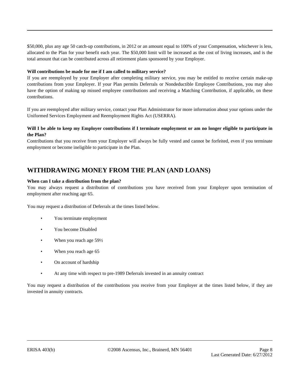\$50,000, plus any age 50 catch-up contributions, in 2012 or an amount equal to 100% of your Compensation, whichever is less, allocated to the Plan for your benefit each year. The \$50,000 limit will be increased as the cost of living increases, and is the total amount that can be contributed across all retirement plans sponsored by your Employer.

# **Will contributions be made for me if I am called to military service?**

If you are reemployed by your Employer after completing military service, you may be entitled to receive certain make-up contributions from your Employer. If your Plan permits Deferrals or Nondeductible Employee Contributions, you may also have the option of making up missed employee contributions and receiving a Matching Contribution, if applicable, on these contributions.

If you are reemployed after military service, contact your Plan Administrator for more information about your options under the Uniformed Services Employment and Reemployment Rights Act (USERRA).

# **Will I be able to keep my Employer contributions if I terminate employment or am no longer eligible to participate in the Plan?**

Contributions that you receive from your Employer will always be fully vested and cannot be forfeited, even if you terminate employment or become ineligible to participate in the Plan.

# **WITHDRAWING MONEY FROM THE PLAN (AND LOANS)**

#### **When can I take a distribution from the plan?**

You may always request a distribution of contributions you have received from your Employer upon termination of employment after reaching age 65.

You may request a distribution of Deferrals at the times listed below.

- You terminate employment
- You become Disabled
- When you reach age 59½
- When you reach age 65
- On account of hardship
- At any time with respect to pre-1989 Deferrals invested in an annuity contract

You may request a distribution of the contributions you receive from your Employer at the times listed below, if they are invested in annuity contracts.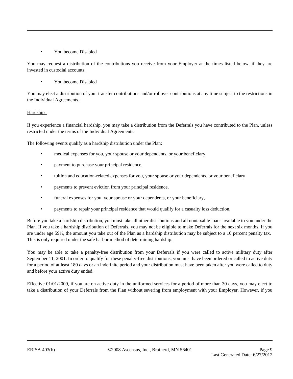# • You become Disabled

You may request a distribution of the contributions you receive from your Employer at the times listed below, if they are invested in custodial accounts.

• You become Disabled

You may elect a distribution of your transfer contributions and/or rollover contributions at any time subject to the restrictions in the Individual Agreements.

# Hardship

If you experience a financial hardship, you may take a distribution from the Deferrals you have contributed to the Plan, unless restricted under the terms of the Individual Agreements.

The following events qualify as a hardship distribution under the Plan:

- medical expenses for you, your spouse or your dependents, or your beneficiary,
- payment to purchase your principal residence,
- tuition and education-related expenses for you, your spouse or your dependents, or your beneficiary
- payments to prevent eviction from your principal residence,
- funeral expenses for you, your spouse or your dependents, or your beneficiary,
- payments to repair your principal residence that would qualify for a casualty loss deduction.

Before you take a hardship distribution, you must take all other distributions and all nontaxable loans available to you under the Plan. If you take a hardship distribution of Deferrals, you may not be eligible to make Deferrals for the next six months. If you are under age 59½, the amount you take out of the Plan as a hardship distribution may be subject to a 10 percent penalty tax. This is only required under the safe harbor method of determining hardship.

You may be able to take a penalty-free distribution from your Deferrals if you were called to active military duty after September 11, 2001. In order to qualify for these penalty-free distributions, you must have been ordered or called to active duty for a period of at least 180 days or an indefinite period and your distribution must have been taken after you were called to duty and before your active duty ended.

Effective 01/01/2009, if you are on active duty in the uniformed services for a period of more than 30 days, you may elect to take a distribution of your Deferrals from the Plan without severing from employment with your Employer. However, if you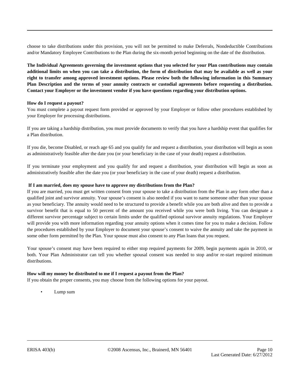choose to take distributions under this provision, you will not be permitted to make Deferrals, Nondeductible Contributions and/or Mandatory Employee Contributions to the Plan during the six-month period beginning on the date of the distribution.

**The Individual Agreements governing the investment options that you selected for your Plan contributions may contain additional limits on when you can take a distribution, the form of distribution that may be available as well as your right to transfer among approved investment options. Please review both the following information in this Summary Plan Description and the terms of your annuity contracts or custodial agreements before requesting a distribution. Contact your Employer or the investment vendor if you have questions regarding your distribution options.**

#### **How do I request a payout?**

You must complete a payout request form provided or approved by your Employer or follow other procedures established by your Employer for processing distributions.

If you are taking a hardship distribution, you must provide documents to verify that you have a hardship event that qualifies for a Plan distribution.

If you die, become Disabled, or reach age 65 and you qualify for and request a distribution, your distribution will begin as soon as administratively feasible after the date you (or your beneficiary in the case of your death) request a distribution.

If you terminate your employment and you qualify for and request a distribution, your distribution will begin as soon as administratively feasible after the date you (or your beneficiary in the case of your death) request a distribution.

#### **If I am married, does my spouse have to approve my distributions from the Plan?**

If you are married, you must get written consent from your spouse to take a distribution from the Plan in any form other than a qualified joint and survivor annuity. Your spouse's consent is also needed if you want to name someone other than your spouse as your beneficiary. The annuity would need to be structured to provide a benefit while you are both alive and then to provide a survivor benefit that is equal to 50 percent of the amount you received while you were both living. You can designate a different survivor percentage subject to certain limits under the qualified optional survivor annuity regulations. Your Employer will provide you with more information regarding your annuity options when it comes time for you to make a decision. Follow the procedures established by your Employer to document your spouse's consent to waive the annuity and take the payment in some other form permitted by the Plan. Your spouse must also consent to any Plan loans that you request.

Your spouse's consent may have been required to either stop required payments for 2009, begin payments again in 2010, or both. Your Plan Administrator can tell you whether spousal consent was needed to stop and/or re-start required minimum distributions.

#### **How will my money be distributed to me if I request a payout from the Plan?**

If you obtain the proper consents, you may choose from the following options for your payout.

Lump sum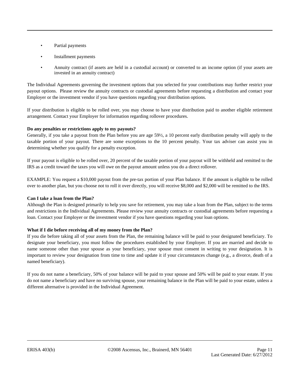- Partial payments
- Installment payments
- Annuity contract (if assets are held in a custodial account) or converted to an income option (if your assets are invested in an annuity contract)

The Individual Agreements governing the investment options that you selected for your contributions may further restrict your payout options. Please review the annuity contracts or custodial agreements before requesting a distribution and contact your Employer or the investment vendor if you have questions regarding your distribution options.

If your distribution is eligible to be rolled over, you may choose to have your distribution paid to another eligible retirement arrangement. Contact your Employer for information regarding rollover procedures.

# **Do any penalties or restrictions apply to my payouts?**

Generally, if you take a payout from the Plan before you are age 59½, a 10 percent early distribution penalty will apply to the taxable portion of your payout. There are some exceptions to the 10 percent penalty. Your tax adviser can assist you in determining whether you qualify for a penalty exception.

If your payout is eligible to be rolled over, 20 percent of the taxable portion of your payout will be withheld and remitted to the IRS as a credit toward the taxes you will owe on the payout amount unless you do a direct rollover.

EXAMPLE: You request a \$10,000 payout from the pre-tax portion of your Plan balance. If the amount is eligible to be rolled over to another plan, but you choose not to roll it over directly, you will receive \$8,000 and \$2,000 will be remitted to the IRS.

# **Can I take a loan from the Plan?**

Although the Plan is designed primarily to help you save for retirement, you may take a loan from the Plan, subject to the terms and restrictions in the Individual Agreements. Please review your annuity contracts or custodial agreements before requesting a loan. Contact your Employer or the investment vendor if you have questions regarding your loan options.

# **What if I die before receiving all of my money from the Plan?**

If you die before taking all of your assets from the Plan, the remaining balance will be paid to your designated beneficiary. To designate your beneficiary, you must follow the procedures established by your Employer. If you are married and decide to name someone other than your spouse as your beneficiary, your spouse must consent in writing to your designation. It is important to review your designation from time to time and update it if your circumstances change (e.g., a divorce, death of a named beneficiary).

If you do not name a beneficiary, 50% of your balance will be paid to your spouse and 50% will be paid to your estate. If you do not name a beneficiary and have no surviving spouse, your remaining balance in the Plan will be paid to your estate, unless a different alternative is provided in the Individual Agreement.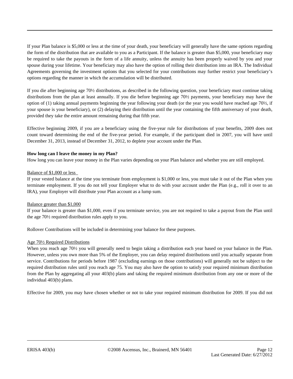If your Plan balance is \$5,000 or less at the time of your death, your beneficiary will generally have the same options regarding the form of the distribution that are available to you as a Participant. If the balance is greater than \$5,000, your beneficiary may be required to take the payouts in the form of a life annuity, unless the annuity has been properly waived by you and your spouse during your lifetime. Your beneficiary may also have the option of rolling their distribution into an IRA. The Individual Agreements governing the investment options that you selected for your contributions may further restrict your beneficiary's options regarding the manner in which the accumulation will be distributed.

If you die after beginning age 70½ distributions, as described in the following question, your beneficiary must continue taking distributions from the plan at least annually. If you die before beginning age 70½ payments, your beneficiary may have the option of (1) taking annual payments beginning the year following your death (or the year you would have reached age 70½, if your spouse is your beneficiary), or (2) delaying their distribution until the year containing the fifth anniversary of your death, provided they take the entire amount remaining during that fifth year.

Effective beginning 2009, if you are a beneficiary using the five-year rule for distributions of your benefits, 2009 does not count toward determining the end of the five-year period. For example, if the participant died in 2007, you will have until December 31, 2013, instead of December 31, 2012, to deplete your account under the Plan.

#### **How long can I leave the money in my Plan?**

How long you can leave your money in the Plan varies depending on your Plan balance and whether you are still employed.

# Balance of \$1,000 or less

If your vested balance at the time you terminate from employment is \$1,000 or less, you must take it out of the Plan when you terminate employment. If you do not tell your Employer what to do with your account under the Plan (e.g., roll it over to an IRA), your Employer will distribute your Plan account as a lump sum.

#### Balance greater than \$1,000

If your balance is greater than \$1,000, even if you terminate service, you are not required to take a payout from the Plan until the age 70½ required distribution rules apply to you.

Rollover Contributions will be included in determining your balance for these purposes.

#### Age 70½ Required Distributions

When you reach age 70<sup>1</sup>/<sub>2</sub> you will generally need to begin taking a distribution each year based on your balance in the Plan. However, unless you own more than 5% of the Employer, you can delay required distributions until you actually separate from service. Contributions for periods before 1987 (excluding earnings on those contributions) will generally not be subject to the required distribution rules until you reach age 75. You may also have the option to satisfy your required minimum distribution from the Plan by aggregating all your 403(b) plans and taking the required minimum distribution from any one or more of the individual 403(b) plans.

Effective for 2009, you may have chosen whether or not to take your required minimum distribution for 2009. If you did not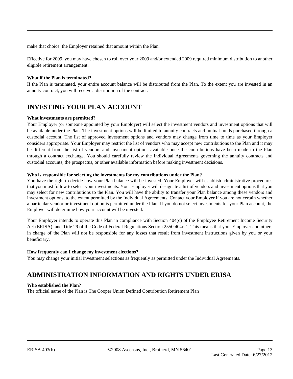make that choice, the Employer retained that amount within the Plan.

Effective for 2009, you may have chosen to roll over your 2009 and/or extended 2009 required minimum distribution to another eligible retirement arrangement.

# **What if the Plan is terminated?**

If the Plan is terminated, your entire account balance will be distributed from the Plan. To the extent you are invested in an annuity contract, you will receive a distribution of the contract.

# **INVESTING YOUR PLAN ACCOUNT**

# **What investments are permitted?**

Your Employer (or someone appointed by your Employer) will select the investment vendors and investment options that will be available under the Plan. The investment options will be limited to annuity contracts and mutual funds purchased through a custodial account. The list of approved investment options and vendors may change from time to time as your Employer considers appropriate. Your Employer may restrict the list of vendors who may accept new contributions to the Plan and it may be different from the list of vendors and investment options available once the contributions have been made to the Plan through a contract exchange. You should carefully review the Individual Agreements governing the annuity contracts and custodial accounts, the prospectus, or other available information before making investment decisions.

#### **Who is responsible for selecting the investments for my contributions under the Plan?**

You have the right to decide how your Plan balance will be invested. Your Employer will establish administrative procedures that you must follow to select your investments. Your Employer will designate a list of vendors and investment options that you may select for new contributions to the Plan. You will have the ability to transfer your Plan balance among these vendors and investment options, to the extent permitted by the Individual Agreements. Contact your Employer if you are not certain whether a particular vendor or investment option is permitted under the Plan. If you do not select investments for your Plan account, the Employer will determine how your account will be invested.

Your Employer intends to operate this Plan in compliance with Section 404(c) of the Employee Retirement Income Security Act (ERISA), and Title 29 of the Code of Federal Regulations Section 2550.404c-1. This means that your Employer and others in charge of the Plan will not be responsible for any losses that result from investment instructions given by you or your beneficiary.

#### **How frequently can I change my investment elections?**

You may change your initial investment selections as frequently as permitted under the Individual Agreements.

# **ADMINISTRATION INFORMATION AND RIGHTS UNDER ERISA**

#### **Who established the Plan?**

The official name of the Plan is The Cooper Union Defined Contribution Retirement Plan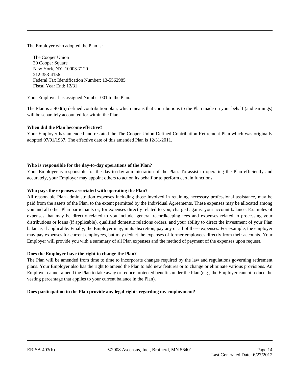The Employer who adopted the Plan is:

The Cooper Union 30 Cooper Square New York, NY 10003-7120 212-353-4156 Federal Tax Identification Number: 13-5562985 Fiscal Year End: 12/31

Your Employer has assigned Number 001 to the Plan.

The Plan is a 403(b) defined contribution plan, which means that contributions to the Plan made on your behalf (and earnings) will be separately accounted for within the Plan.

# **When did the Plan become effective?**

Your Employer has amended and restated the The Cooper Union Defined Contribution Retirement Plan which was originally adopted 07/01/1937. The effective date of this amended Plan is 12/31/2011.

# **Who is responsible for the day-to-day operations of the Plan?**

Your Employer is responsible for the day-to-day administration of the Plan. To assist in operating the Plan efficiently and accurately, your Employer may appoint others to act on its behalf or to perform certain functions.

#### **Who pays the expenses associated with operating the Plan?**

All reasonable Plan administration expenses including those involved in retaining necessary professional assistance, may be paid from the assets of the Plan, to the extent permitted by the Individual Agreements. These expenses may be allocated among you and all other Plan participants or, for expenses directly related to you, charged against your account balance. Examples of expenses that may be directly related to you include, general recordkeeping fees and expenses related to processing your distributions or loans (if applicable), qualified domestic relations orders, and your ability to direct the investment of your Plan balance, if applicable. Finally, the Employer may, in its discretion, pay any or all of these expenses. For example, the employer may pay expenses for current employees, but may deduct the expenses of former employees directly from their accounts. Your Employer will provide you with a summary of all Plan expenses and the method of payment of the expenses upon request.

#### **Does the Employer have the right to change the Plan?**

The Plan will be amended from time to time to incorporate changes required by the law and regulations governing retirement plans. Your Employer also has the right to amend the Plan to add new features or to change or eliminate various provisions. An Employer cannot amend the Plan to take away or reduce protected benefits under the Plan (e.g., the Employer cannot reduce the vesting percentage that applies to your current balance in the Plan).

#### **Does participation in the Plan provide any legal rights regarding my employment?**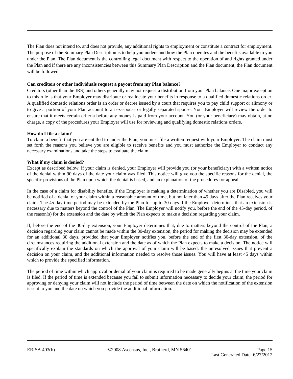The Plan does not intend to, and does not provide, any additional rights to employment or constitute a contract for employment. The purpose of the Summary Plan Description is to help you understand how the Plan operates and the benefits available to you under the Plan. The Plan document is the controlling legal document with respect to the operation of and rights granted under the Plan and if there are any inconsistencies between this Summary Plan Description and the Plan document, the Plan document will be followed.

#### **Can creditors or other individuals request a payout from my Plan balance?**

Creditors (other than the IRS) and others generally may not request a distribution from your Plan balance. One major exception to this rule is that your Employer may distribute or reallocate your benefits in response to a qualified domestic relations order. A qualified domestic relations order is an order or decree issued by a court that requires you to pay child support or alimony or to give a portion of your Plan account to an ex-spouse or legally separated spouse. Your Employer will review the order to ensure that it meets certain criteria before any money is paid from your account. You (or your beneficiary) may obtain, at no charge, a copy of the procedures your Employer will use for reviewing and qualifying domestic relations orders.

# **How do I file a claim?**

To claim a benefit that you are entitled to under the Plan, you must file a written request with your Employer. The claim must set forth the reasons you believe you are eligible to receive benefits and you must authorize the Employer to conduct any necessary examinations and take the steps to evaluate the claim.

# **What if my claim is denied?**

Except as described below, if your claim is denied, your Employer will provide you (or your beneficiary) with a written notice of the denial within 90 days of the date your claim was filed. This notice will give you the specific reasons for the denial, the specific provisions of the Plan upon which the denial is based, and an explanation of the procedures for appeal.

In the case of a claim for disability benefits, if the Employer is making a determination of whether you are Disabled, you will be notified of a denial of your claim within a reasonable amount of time, but not later than 45 days after the Plan receives your claim. The 45-day time period may be extended by the Plan for up to 30 days if the Employer determines that an extension is necessary due to matters beyond the control of the Plan. The Employer will notify you, before the end of the 45-day period, of the reason(s) for the extension and the date by which the Plan expects to make a decision regarding your claim.

If, before the end of the 30-day extension, your Employer determines that, due to matters beyond the control of the Plan, a decision regarding your claim cannot be made within the 30-day extension, the period for making the decision may be extended for an additional 30 days, provided that your Employer notifies you, before the end of the first 30-day extension, of the circumstances requiring the additional extension and the date as of which the Plan expects to make a decision. The notice will specifically explain the standards on which the approval of your claim will be based, the unresolved issues that prevent a decision on your claim, and the additional information needed to resolve those issues. You will have at least 45 days within which to provide the specified information.

The period of time within which approval or denial of your claim is required to be made generally begins at the time your claim is filed. If the period of time is extended because you fail to submit information necessary to decide your claim, the period for approving or denying your claim will not include the period of time between the date on which the notification of the extension is sent to you and the date on which you provide the additional information.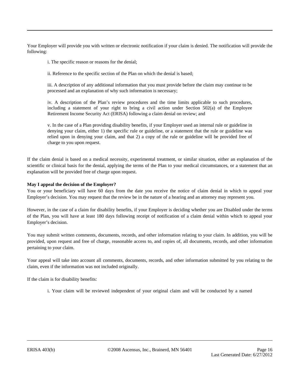Your Employer will provide you with written or electronic notification if your claim is denied. The notification will provide the following:

i. The specific reason or reasons for the denial;

ii. Reference to the specific section of the Plan on which the denial is based;

iii. A description of any additional information that you must provide before the claim may continue to be processed and an explanation of why such information is necessary;

iv. A description of the Plan's review procedures and the time limits applicable to such procedures, including a statement of your right to bring a civil action under Section  $502(a)$  of the Employee Retirement Income Security Act (ERISA) following a claim denial on review; and

v. In the case of a Plan providing disability benefits, if your Employer used an internal rule or guideline in denying your claim, either 1) the specific rule or guideline, or a statement that the rule or guideline was relied upon in denying your claim, and that 2) a copy of the rule or guideline will be provided free of charge to you upon request.

If the claim denial is based on a medical necessity, experimental treatment, or similar situation, either an explanation of the scientific or clinical basis for the denial, applying the terms of the Plan to your medical circumstances, or a statement that an explanation will be provided free of charge upon request.

# **May I appeal the decision of the Employer?**

You or your beneficiary will have 60 days from the date you receive the notice of claim denial in which to appeal your Employer's decision. You may request that the review be in the nature of a hearing and an attorney may represent you.

However, in the case of a claim for disability benefits, if your Employer is deciding whether you are Disabled under the terms of the Plan, you will have at least 180 days following receipt of notification of a claim denial within which to appeal your Employer's decision.

You may submit written comments, documents, records, and other information relating to your claim. In addition, you will be provided, upon request and free of charge, reasonable access to, and copies of, all documents, records, and other information pertaining to your claim.

Your appeal will take into account all comments, documents, records, and other information submitted by you relating to the claim, even if the information was not included originally.

If the claim is for disability benefits:

i. Your claim will be reviewed independent of your original claim and will be conducted by a named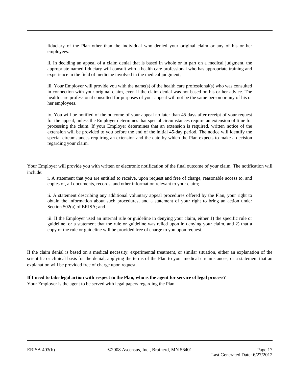fiduciary of the Plan other than the individual who denied your original claim or any of his or her employees.

ii. In deciding an appeal of a claim denial that is based in whole or in part on a medical judgment, the appropriate named fiduciary will consult with a health care professional who has appropriate training and experience in the field of medicine involved in the medical judgment;

iii. Your Employer will provide you with the name(s) of the health care professional(s) who was consulted in connection with your original claim, even if the claim denial was not based on his or her advice. The health care professional consulted for purposes of your appeal will not be the same person or any of his or her employees.

iv. You will be notified of the outcome of your appeal no later than 45 days after receipt of your request for the appeal, unless the Employer determines that special circumstances require an extension of time for processing the claim. If your Employer determines that an extension is required, written notice of the extension will be provided to you before the end of the initial 45-day period. The notice will identify the special circumstances requiring an extension and the date by which the Plan expects to make a decision regarding your claim.

Your Employer will provide you with written or electronic notification of the final outcome of your claim. The notification will include:

i. A statement that you are entitled to receive, upon request and free of charge, reasonable access to, and copies of, all documents, records, and other information relevant to your claim;

ii. A statement describing any additional voluntary appeal procedures offered by the Plan, your right to obtain the information about such procedures, and a statement of your right to bring an action under Section 502(a) of ERISA; and

iii. If the Employer used an internal rule or guideline in denying your claim, either 1) the specific rule or guideline, or a statement that the rule or guideline was relied upon in denying your claim, and 2) that a copy of the rule or guideline will be provided free of charge to you upon request.

If the claim denial is based on a medical necessity, experimental treatment, or similar situation, either an explanation of the scientific or clinical basis for the denial, applying the terms of the Plan to your medical circumstances, or a statement that an explanation will be provided free of charge upon request.

#### **If I need to take legal action with respect to the Plan, who is the agent for service of legal process?** Your Employer is the agent to be served with legal papers regarding the Plan.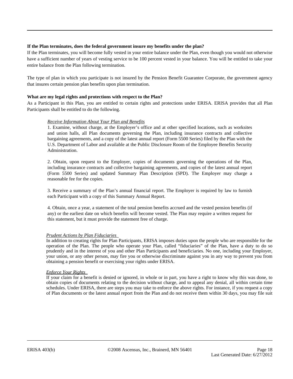# **If the Plan terminates, does the federal government insure my benefits under the plan?**

If the Plan terminates, you will become fully vested in your entire balance under the Plan, even though you would not otherwise have a sufficient number of years of vesting service to be 100 percent vested in your balance. You will be entitled to take your entire balance from the Plan following termination.

The type of plan in which you participate is not insured by the Pension Benefit Guarantee Corporate, the government agency that insures certain pension plan benefits upon plan termination.

# **What are my legal rights and protections with respect to the Plan?**

As a Participant in this Plan, you are entitled to certain rights and protections under ERISA. ERISA provides that all Plan Participants shall be entitled to do the following.

#### *Receive Information About Your Plan and Benefits*

1. Examine, without charge, at the Employer's office and at other specified locations, such as worksites and union halls, all Plan documents governing the Plan, including insurance contracts and collective bargaining agreements, and a copy of the latest annual report (Form 5500 Series) filed by the Plan with the U.S. Department of Labor and available at the Public Disclosure Room of the Employee Benefits Security Administration.

2. Obtain, upon request to the Employer, copies of documents governing the operations of the Plan, including insurance contracts and collective bargaining agreements, and copies of the latest annual report (Form 5500 Series) and updated Summary Plan Description (SPD). The Employer may charge a reasonable fee for the copies.

3. Receive a summary of the Plan's annual financial report. The Employer is required by law to furnish each Participant with a copy of this Summary Annual Report.

4. Obtain, once a year, a statement of the total pension benefits accrued and the vested pension benefits (if any) or the earliest date on which benefits will become vested. The Plan may require a written request for this statement, but it must provide the statement free of charge.

#### *Prudent Actions by Plan Fiduciaries*

In addition to creating rights for Plan Participants, ERISA imposes duties upon the people who are responsible for the operation of the Plan. The people who operate your Plan, called "fiduciaries" of the Plan, have a duty to do so prudently and in the interest of you and other Plan Participants and beneficiaries. No one, including your Employer, your union, or any other person, may fire you or otherwise discriminate against you in any way to prevent you from obtaining a pension benefit or exercising your rights under ERISA.

#### *Enforce Your Rights*

If your claim for a benefit is denied or ignored, in whole or in part, you have a right to know why this was done, to obtain copies of documents relating to the decision without charge, and to appeal any denial, all within certain time schedules. Under ERISA, there are steps you may take to enforce the above rights. For instance, if you request a copy of Plan documents or the latest annual report from the Plan and do not receive them within 30 days, you may file suit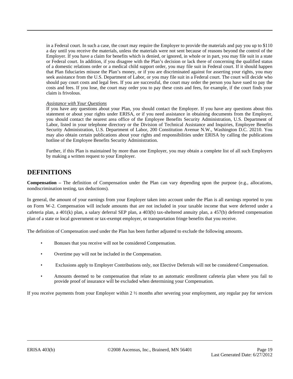in a Federal court. In such a case, the court may require the Employer to provide the materials and pay you up to \$110 a day until you receive the materials, unless the materials were not sent because of reasons beyond the control of the Employer. If you have a claim for benefits which is denied, or ignored, in whole or in part, you may file suit in a state or Federal court. In addition, if you disagree with the Plan's decision or lack there of concerning the qualified status of a domestic relations order or a medical child support order, you may file suit in Federal court. If it should happen that Plan fiduciaries misuse the Plan's money, or if you are discriminated against for asserting your rights, you may seek assistance from the U.S. Department of Labor, or you may file suit in a Federal court. The court will decide who should pay court costs and legal fees. If you are successful, the court may order the person you have sued to pay the costs and fees. If you lose, the court may order you to pay these costs and fees, for example, if the court finds your claim is frivolous.

#### *Assistance with Your Questions*

If you have any questions about your Plan, you should contact the Employer. If you have any questions about this statement or about your rights under ERISA, or if you need assistance in obtaining documents from the Employer, you should contact the nearest area office of the Employee Benefits Security Administration, U.S. Department of Labor, listed in your telephone directory or the Division of Technical Assistance and Inquiries, Employee Benefits Security Administration, U.S. Department of Labor, 200 Constitution Avenue N.W., Washington D.C. 20210. You may also obtain certain publications about your rights and responsibilities under ERISA by calling the publications hotline of the Employee Benefits Security Administration.

Further, if this Plan is maintained by more than one Employer, you may obtain a complete list of all such Employers by making a written request to your Employer.

# **DEFINITIONS**

**Compensation –** The definition of Compensation under the Plan can vary depending upon the purpose (e.g., allocations, nondiscrimination testing, tax deductions).

In general, the amount of your earnings from your Employer taken into account under the Plan is all earnings reported to you on Form W-2. Compensation will include amounts that are not included in your taxable income that were deferred under a cafeteria plan, a 401(k) plan, a salary deferral SEP plan, a 403(b) tax-sheltered annuity plan, a 457(b) deferred compensation plan of a state or local government or tax-exempt employer, or transportation fringe benefits that you receive.

The definition of Compensation used under the Plan has been further adjusted to exclude the following amounts.

- Bonuses that you receive will not be considered Compensation.
- Overtime pay will not be included in the Compensation.
- Exclusions apply to Employer Contributions only, not Elective Deferrals will not be considered Compensation.
- Amounts deemed to be compensation that relate to an automatic enrollment cafeteria plan where you fail to provide proof of insurance will be excluded when determining your Compensation.

If you receive payments from your Employer within  $2 \frac{1}{2}$  months after severing your employment, any regular pay for services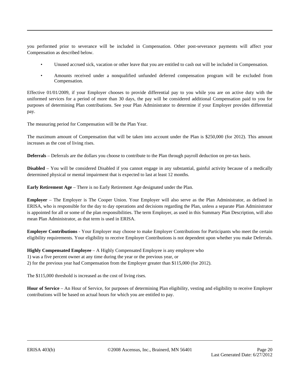you performed prior to severance will be included in Compensation. Other post-severance payments will affect your Compensation as described below.

- Unused accrued sick, vacation or other leave that you are entitled to cash out will be included in Compensation.
- Amounts received under a nonqualified unfunded deferred compensation program will be excluded from Compensation.

Effective 01/01/2009, if your Employer chooses to provide differential pay to you while you are on active duty with the uniformed services for a period of more than 30 days, the pay will be considered additional Compensation paid to you for purposes of determining Plan contributions. See your Plan Administrator to determine if your Employer provides differential pay.

The measuring period for Compensation will be the Plan Year.

The maximum amount of Compensation that will be taken into account under the Plan is \$250,000 (for 2012). This amount increases as the cost of living rises.

**Deferrals** – Deferrals are the dollars you choose to contribute to the Plan through payroll deduction on pre-tax basis.

**Disabled** – You will be considered Disabled if you cannot engage in any substantial, gainful activity because of a medically determined physical or mental impairment that is expected to last at least 12 months.

**Early Retirement Age** – There is no Early Retirement Age designated under the Plan.

**Employer** – The Employer is The Cooper Union. Your Employer will also serve as the Plan Administrator, as defined in ERISA, who is responsible for the day to day operations and decisions regarding the Plan, unless a separate Plan Administrator is appointed for all or some of the plan responsibilities. The term Employer, as used in this Summary Plan Description, will also mean Plan Administrator, as that term is used in ERISA.

**Employer Contributions** - Your Employer may choose to make Employer Contributions for Participants who meet the certain eligibility requirements. Your eligibility to receive Employer Contributions is not dependent upon whether you make Deferrals.

# **Highly Compensated Employee** – A Highly Compensated Employee is any employee who 1) was a five percent owner at any time during the year or the previous year, or 2) for the previous year had Compensation from the Employer greater than \$115,000 (for 2012).

The \$115,000 threshold is increased as the cost of living rises.

**Hour of Service** – An Hour of Service, for purposes of determining Plan eligibility, vesting and eligibility to receive Employer contributions will be based on actual hours for which you are entitled to pay.